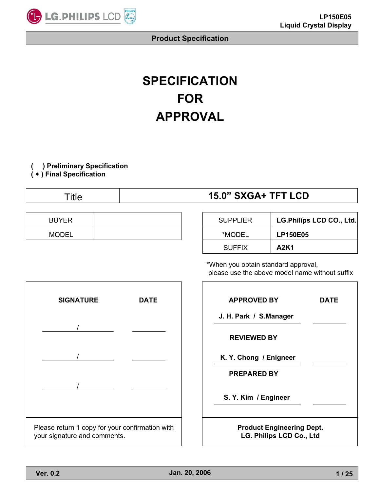

# **SPECIFICATION FOR APPROVAL**

**( ) Preliminary Specification**

**(** Ⴗ **) Final Specification**

| <b>SXGA+ TFT LCD</b><br>15.0" |
|-------------------------------|
|                               |

| <b>BUYER</b> |  | <b>SUPPLIER</b> | <b>LG.Philips</b> |
|--------------|--|-----------------|-------------------|
| MODEI        |  | *MODEL          | LP150E05          |

| <b>BUYER</b> | <b>SUPPLIER</b> | LG.Philips LCD CO., Ltd. |
|--------------|-----------------|--------------------------|
| MODEL        | *MODEL          | <b>LP150E05</b>          |
|              | <b>SUFFIX</b>   | A2K1                     |

\*When you obtain standard approval, please use the above model name without suffix



| <b>APPROVED BY</b>                                                  | DATE |
|---------------------------------------------------------------------|------|
| J. H. Park / S.Manager                                              |      |
| <b>REVIEWED BY</b>                                                  |      |
| K. Y. Chong / Enigneer                                              |      |
| <b>PREPARED BY</b>                                                  |      |
| S. Y. Kim / Engineer                                                |      |
| <b>Product Engineering Dept.</b><br><b>LG. Philips LCD Co., Ltd</b> |      |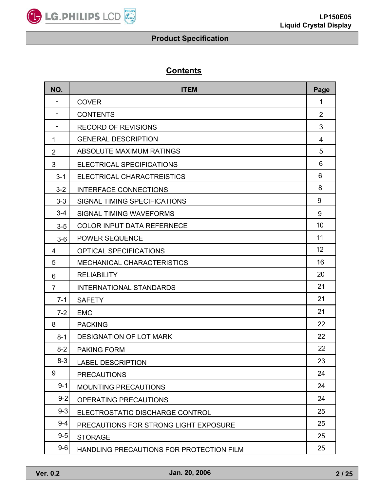

# **Contents**

| NO.            | <b>ITEM</b>                              | Page           |
|----------------|------------------------------------------|----------------|
|                | <b>COVER</b>                             | 1              |
| $\blacksquare$ | <b>CONTENTS</b>                          | $\overline{2}$ |
| $\blacksquare$ | <b>RECORD OF REVISIONS</b>               | 3              |
| 1              | <b>GENERAL DESCRIPTION</b>               | 4              |
| $\overline{2}$ | <b>ABSOLUTE MAXIMUM RATINGS</b>          | 5              |
| 3              | ELECTRICAL SPECIFICATIONS                | 6              |
| $3 - 1$        | ELECTRICAL CHARACTREISTICS               | 6              |
| $3 - 2$        | <b>INTERFACE CONNECTIONS</b>             | 8              |
| $3 - 3$        | SIGNAL TIMING SPECIFICATIONS             | 9              |
| $3 - 4$        | SIGNAL TIMING WAVEFORMS                  | 9              |
| $3-5$          | <b>COLOR INPUT DATA REFERNECE</b>        | 10             |
| $3-6$          | <b>POWER SEQUENCE</b>                    | 11             |
| 4              | <b>OPTICAL SPECIFICATIONS</b>            | 12             |
| 5              | MECHANICAL CHARACTERISTICS               | 16             |
| 6              | <b>RELIABILITY</b>                       | 20             |
| $\overline{7}$ | <b>INTERNATIONAL STANDARDS</b>           | 21             |
| $7 - 1$        | <b>SAFETY</b>                            | 21             |
| $7 - 2$        | <b>EMC</b>                               | 21             |
| 8              | <b>PACKING</b>                           | 22             |
| $8 - 1$        | <b>DESIGNATION OF LOT MARK</b>           | 22             |
| $8 - 2$        | <b>PAKING FORM</b>                       | 22             |
| $8 - 3$        | <b>LABEL DESCRIPTION</b>                 | 23             |
| 9              | <b>PRECAUTIONS</b>                       | 24             |
| $9 - 1$        | <b>MOUNTING PRECAUTIONS</b>              | 24             |
| $9 - 2$        | OPERATING PRECAUTIONS                    | 24             |
| $9 - 3$        | ELECTROSTATIC DISCHARGE CONTROL          | 25             |
| $9 - 4$        | PRECAUTIONS FOR STRONG LIGHT EXPOSURE    | 25             |
| $9-5$          | <b>STORAGE</b>                           | 25             |
| $9-6$          | HANDLING PRECAUTIONS FOR PROTECTION FILM | 25             |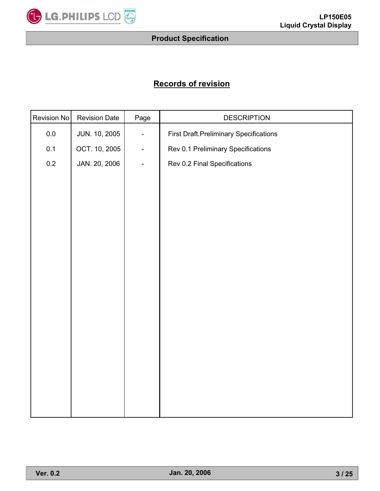

# **Records of revision**

| Revision No | <b>Revision Date</b> | Page                     | <b>DESCRIPTION</b>                             |  |  |  |  |
|-------------|----------------------|--------------------------|------------------------------------------------|--|--|--|--|
| $0.0\,$     | JUN. 10, 2005        | -                        | <b>First Draft. Preliminary Specifications</b> |  |  |  |  |
| 0.1         | OCT. 10, 2005        | $\overline{\phantom{0}}$ | Rev 0.1 Preliminary Specifications             |  |  |  |  |
| 0.2         | JAN. 20, 2006        | $\overline{\phantom{0}}$ | Rev 0.2 Final Specifications                   |  |  |  |  |
|             |                      |                          |                                                |  |  |  |  |
|             |                      |                          |                                                |  |  |  |  |
|             |                      |                          |                                                |  |  |  |  |
|             |                      |                          |                                                |  |  |  |  |
|             |                      |                          |                                                |  |  |  |  |
|             |                      |                          |                                                |  |  |  |  |
|             |                      |                          |                                                |  |  |  |  |
|             |                      |                          |                                                |  |  |  |  |
|             |                      |                          |                                                |  |  |  |  |
|             |                      |                          |                                                |  |  |  |  |
|             |                      |                          |                                                |  |  |  |  |
|             |                      |                          |                                                |  |  |  |  |
|             |                      |                          |                                                |  |  |  |  |
|             |                      |                          |                                                |  |  |  |  |
|             |                      |                          |                                                |  |  |  |  |
|             |                      |                          |                                                |  |  |  |  |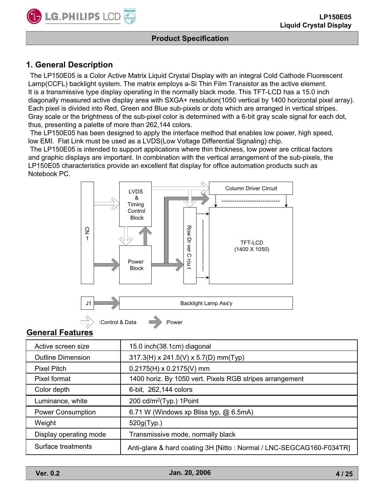

# **1. General Description**

The LP150E05 is a Color Active Matrix Liquid Crystal Display with an integral Cold Cathode Fluorescent Lamp(CCFL) backlight system. The matrix employs a-Si Thin Film Transistor as the active element. It is a transmissive type display operating in the normally black mode. This TFT-LCD has a 15.0 inch diagonally measured active display area with SXGA+ resolution(1050 vertical by 1400 horizontal pixel array). Each pixel is divided into Red, Green and Blue sub-pixels or dots which are arranged in vertical stripes. Gray scale or the brightness of the sub-pixel color is determined with a 6-bit gray scale signal for each dot, thus, presenting a palette of more than 262,144 colors.

The LP150E05 has been designed to apply the interface method that enables low power, high speed, low EMI. Flat Link must be used as a LVDS(Low Voltage Differential Signaling) chip.

The LP150E05 is intended to support applications where thin thickness, low power are critical factors and graphic displays are important. In combination with the vertical arrangement of the sub-pixels, the LP150E05 characteristics provide an excellent flat display for office automation products such as Notebook PC.



#### **General Features**

| Active screen size       | 15.0 inch (38.1cm) diagonal                                          |
|--------------------------|----------------------------------------------------------------------|
| <b>Outline Dimension</b> | $317.3(H)$ x 241.5(V) x 5.7(D) mm(Typ)                               |
| <b>Pixel Pitch</b>       | $0.2175(H) \times 0.2175(V)$ mm                                      |
| Pixel format             | 1400 horiz. By 1050 vert. Pixels RGB stripes arrangement             |
| Color depth              | 6-bit, 262,144 colors                                                |
| Luminance, white         | 200 $cd/m^2$ (Typ.) 1 Point                                          |
| <b>Power Consumption</b> | 6.71 W (Windows xp Bliss typ, @ 6.5mA)                               |
| Weight                   | 520g(Typ.)                                                           |
| Display operating mode   | Transmissive mode, normally black                                    |
| Surface treatments       | Anti-glare & hard coating 3H [Nitto : Normal / LNC-SEGCAG160-F034TR] |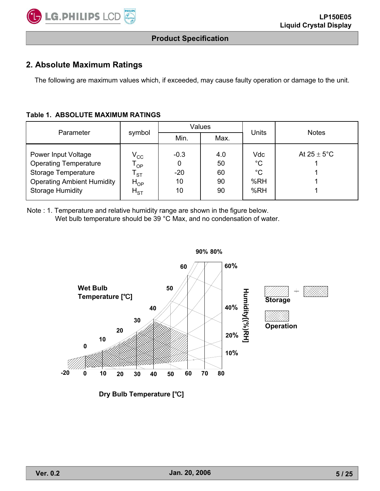

## **2. Absolute Maximum Ratings**

The following are maximum values which, if exceeded, may cause faulty operation or damage to the unit.

#### **Table 1. ABSOLUTE MAXIMUM RATINGS**

| Parameter                                                                                                                                         |                                                                                | Values                           |                             | Units                                           | <b>Notes</b>            |  |
|---------------------------------------------------------------------------------------------------------------------------------------------------|--------------------------------------------------------------------------------|----------------------------------|-----------------------------|-------------------------------------------------|-------------------------|--|
|                                                                                                                                                   | symbol                                                                         | Min.                             | Max.                        |                                                 |                         |  |
| Power Input Voltage<br><b>Operating Temperature</b><br><b>Storage Temperature</b><br><b>Operating Ambient Humidity</b><br><b>Storage Humidity</b> | $\rm V_{CC}$<br>$T_{OP}$<br>$\mathsf{T}_{\texttt{ST}}$<br>$H_{OP}$<br>$H_{ST}$ | $-0.3$<br>0<br>$-20$<br>10<br>10 | 4.0<br>50<br>60<br>90<br>90 | Vdc<br>$^{\circ}C$<br>$^{\circ}C$<br>%RH<br>%RH | At $25 \pm 5^{\circ}$ C |  |

Note : 1. Temperature and relative humidity range are shown in the figure below. Wet bulb temperature should be 39 °C Max, and no condensation of water.



**Dry Bulb Temperature [°C]**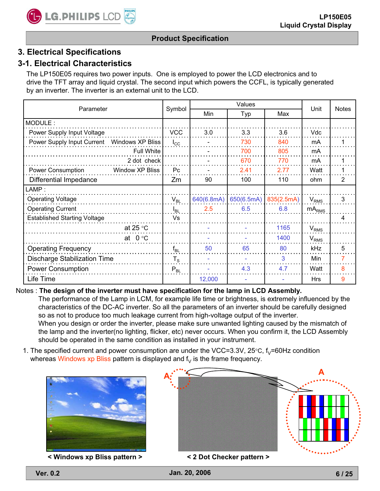# **3. Electrical Specifications**

# **3-1. Electrical Characteristics**

The LP150E05 requires two power inputs. One is employed to power the LCD electronics and to drive the TFT array and liquid crystal. The second input which powers the CCFL, is typically generated by an inverter. The inverter is an external unit to the LCD.

|                                              |                | Values     |            |            | Unit                   | <b>Notes</b> |
|----------------------------------------------|----------------|------------|------------|------------|------------------------|--------------|
| Parameter                                    | Symbol         | <b>Min</b> | Typ        | Max        |                        |              |
| MODULE:                                      |                |            |            |            |                        |              |
| Power Supply Input Voltage                   | <b>VCC</b>     | 3.0        | 3.3        | 3.6        | Vdc                    |              |
| Power Supply Input Current  Windows XP Bliss | $I_{\rm CC}$   |            | 730        | 840        | mA                     |              |
| <b>Full White</b>                            |                |            | 700        | 805        | mA                     |              |
| 2 dot check                                  |                |            | 670        | 770        | mA                     |              |
| Power Consumption<br>Window XP Bliss         | P <sub>C</sub> |            | 2.41       | 2.77       | Watt                   |              |
| Differential Impedance                       | Zm             | 90         | 100        | 110        | ohm                    | 2            |
| LAMP:                                        |                |            |            |            |                        |              |
| <b>Operating Voltage</b>                     | $V_{BL}$       | 640(6.8mA) | 650(6.5mA) | 835(2.5mA) | $V_{RMS}$              | 3            |
| <b>Operating Current</b>                     | $I_{BL}$       | 2.5        | 6.5        | 6.8        | $mA_{RMS}$             |              |
| <b>Established Starting Voltage</b>          | Vs             |            |            |            |                        | 4            |
| at 25 $\degree$ C                            |                |            |            | 1165       | $V_{RMS}$              |              |
| $0^{\circ}$ C<br>at                          |                |            |            | 1400       | <b>V<sub>RMS</sub></b> |              |
| <b>Operating Frequency</b>                   | $f_{BL}$       | 50         | 65         | 80         | <b>kHz</b>             | 5            |
| <b>Discharge Stabilization Time</b>          | $T_{\rm S}$    |            |            | 3          | Min                    | 7            |
| <b>Power Consumption</b>                     | $P_{BL}$       |            | 4.3        | 4.7        | Watt                   | 8            |
| Life Time                                    |                | 12,000     |            |            | <b>Hrs</b>             | 9            |

#### Notes : **The design of the inverter must have specification for the lamp in LCD Assembly.**

The performance of the Lamp in LCM, for example life time or brightness, is extremely influenced by the characteristics of the DC-AC inverter. So all the parameters of an inverter should be carefully designed so as not to produce too much leakage current from high-voltage output of the inverter. When you design or order the inverter, please make sure unwanted lighting caused by the mismatch of

the lamp and the inverter(no lighting, flicker, etc) never occurs. When you confirm it, the LCD Assembly should be operated in the same condition as installed in your instrument.

1. The specified current and power consumption are under the VCC=3.3V, 25 $\degree$ C, f<sub>V</sub>=60Hz condition whereas Windows xp Bliss pattern is displayed and  $f<sub>V</sub>$  is the frame frequency.



**< Windows xp Bliss pattern > < 2 Dot Checker pattern >**

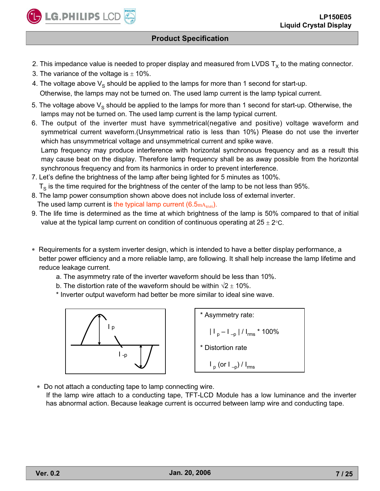

- 2. This impedance value is needed to proper display and measured from LVDS  $T_x$  to the mating connector.
- 3. The variance of the voltage is  $\pm$  10%.
- 4. The voltage above  $V_s$  should be applied to the lamps for more than 1 second for start-up. Otherwise, the lamps may not be turned on. The used lamp current is the lamp typical current.
- 5. The voltage above  $V_s$  should be applied to the lamps for more than 1 second for start-up. Otherwise, the lamps may not be turned on. The used lamp current is the lamp typical current.
- 6. The output of the inverter must have symmetrical(negative and positive) voltage waveform and symmetrical current waveform.(Unsymmetrical ratio is less than 10%) Please do not use the inverter which has unsymmetrical voltage and unsymmetrical current and spike wave. Lamp frequency may produce interference with horizontal synchronous frequency and as a result this may cause beat on the display. Therefore lamp frequency shall be as away possible from the horizontal synchronous frequency and from its harmonics in order to prevent interference.
- 7. Let's define the brightness of the lamp after being lighted for 5 minutes as 100%.  $T<sub>S</sub>$  is the time required for the brightness of the center of the lamp to be not less than 95%.
- 8. The lamp power consumption shown above does not include loss of external inverter.
- The used lamp current is the typical lamp current  $(6.5<sub>mA<sub>RMS</sub></sub>)$ .
- 9. The life time is determined as the time at which brightness of the lamp is 50% compared to that of initial value at the typical lamp current on condition of continuous operating at 25  $\pm$  2°C.
- Requirements for a system inverter design, which is intended to have a better display performance, a better power efficiency and a more reliable lamp, are following. It shall help increase the lamp lifetime and reduce leakage current.
	- a. The asymmetry rate of the inverter waveform should be less than 10%.
	- b. The distortion rate of the waveform should be within  $\sqrt{2} \pm 10\%$ .
	- \* Inverter output waveform had better be more similar to ideal sine wave.



\n
$$
\begin{array}{r}\n \begin{array}{r}\n \begin{array}{r}\n \begin{array}{r}\n \end{array} \\
\hline\n \begin{array}{r}\n \end{array} \\
\hline\n \begin{array}{r}\n \end{array} \\
\hline\n \begin{array}{r}\n \end{array} \\
\hline\n \begin{array}{r}\n \end{array} \\
\hline\n \begin{array}{r}\n \end{array} \\
\hline\n \begin{array}{r}\n \end{array} \\
\hline\n \begin{array}{r}\n \end{array} \\
\hline\n \begin{array}{r}\n \end{array} \\
\hline\n \begin{array}{r}\n \end{array} \\
\hline\n \begin{array}{r}\n \end{array} \\
\hline\n \begin{array}{r}\n \end{array} \\
\hline\n \begin{array}{r}\n \end{array} \\
\hline\n \begin{array}{r}\n \end{array} \\
\hline\n \begin{array}{r}\n \end{array} \\
\hline\n \begin{array}{r}\n \end{array} \\
\hline\n \begin{array}{r}\n \end{array} \\
\hline\n \begin{array}{r}\n \end{array} \\
\hline\n \begin{array}{r}\n \end{array} \\
\hline\n \begin{array}{r}\n \end{array} \\
\hline\n \begin{array}{r}\n \end{array} \\
\hline\n \begin{array}{r}\n \end{array} \\
\hline\n \begin{array}{r}\n \end{array} \\
\hline\n \begin{array}{r}\n \end{array} \\
\hline\n \begin{array}{r}\n \end{array} \\
\hline\n \begin{array}{r}\n \end{array} \\
\hline\n \begin{array}{r}\n \end{array} \\
\hline\n \begin{array}{r}\n \end{array} \\
\hline\n \begin{array}{r}\n \end{array} \\
\hline\n \begin{array}{r}\n \end{array} \\
\hline\n \begin{array}{r}\n \end{array} \\
\hline\n \begin{array}{r}\n \end{array} \\
\hline\n \begin{array}{r}\n \end{array} \\
\hline\n \begin{array}{r}\n \end{array} \\
\hline\n \begin{array}{r}\n \end{array} \\
\hline\n \begin{array}{r}\n \end{array} \\
\hline\n \begin{array}{r}\n \end{array} \\
\hline\n \begin{array}{r}\n \end{array} \\
\hline\n \begin{array}{r}\n \end{array} \\
\hline\n \begin{array}{r}\n \end{array} \\
\hline\n \begin{array}{r}\n \end{array} \\
\h
$$

Do not attach a conducting tape to lamp connecting wire.

If the lamp wire attach to a conducting tape, TFT-LCD Module has a low luminance and the inverter has abnormal action. Because leakage current is occurred between lamp wire and conducting tape.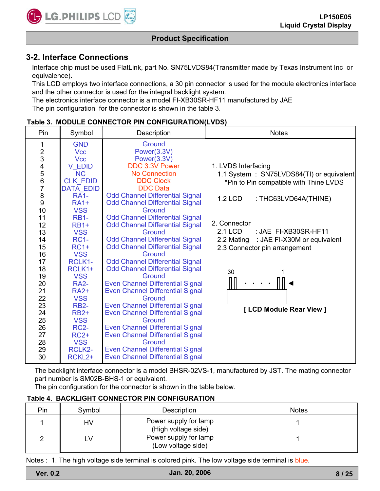

## **3-2. Interface Connections**

Interface chip must be used FlatLink, part No. SN75LVDS84(Transmitter made by Texas Instrument Inc or equivalence).

This LCD employs two interface connections, a 30 pin connector is used for the module electronics interface and the other connector is used for the integral backlight system.

The electronics interface connector is a model FI-XB30SR-HF11 manufactured by JAE The pin configuration for the connector is shown in the table 3.

| Pin                                        | Symbol                    | Description                                       | <b>Notes</b>                              |
|--------------------------------------------|---------------------------|---------------------------------------------------|-------------------------------------------|
| 1                                          | <b>GND</b>                | Ground                                            |                                           |
|                                            | <b>Vcc</b>                | Power(3.3V)                                       |                                           |
| $\begin{array}{c} 2 \\ 3 \\ 4 \end{array}$ | <b>Vcc</b>                | Power(3.3V)                                       |                                           |
|                                            | <b>V EDID</b>             | DDC 3.3V Power                                    | 1. LVDS Interfacing                       |
|                                            | <b>NC</b>                 | <b>No Connection</b>                              | 1.1 System : SN75LVDS84(TI) or equivalent |
| 5<br>6<br>7                                | <b>CLK EDID</b>           | <b>DDC Clock</b>                                  | *Pin to Pin compatible with Thine LVDS    |
|                                            | <b>DATA EDID</b>          | <b>DDC</b> Data                                   |                                           |
| 8                                          | $R\overline{A}$ 1-        | <b>Odd Channel Differential Signal</b>            | 1.2 LCD<br>: THC63LVD64A(THINE)           |
| 9                                          | $RA1+$                    | <b>Odd Channel Differential Signal</b>            |                                           |
| 10                                         | <b>VSS</b>                | Ground                                            |                                           |
| 11                                         | <b>RB1-</b>               | <b>Odd Channel Differential Signal</b>            | 2. Connector                              |
| 12                                         | <b>RB1+</b>               | <b>Odd Channel Differential Signal</b>            |                                           |
| 13                                         | <b>VSS</b>                | Ground                                            | 2.1 LCD<br>: JAE FI-XB30SR-HF11           |
| 14                                         | <b>RC1-</b>               | <b>Odd Channel Differential Signal</b>            | : JAE FI-X30M or equivalent<br>2.2 Mating |
| 15                                         | $RC1+$                    | <b>Odd Channel Differential Signal</b>            | 2.3 Connector pin arrangement             |
| 16                                         | <b>VSS</b>                | Ground                                            |                                           |
| 17                                         | RCLK1-                    | <b>Odd Channel Differential Signal</b>            |                                           |
| 18                                         | RCLK1+                    | <b>Odd Channel Differential Signal</b>            | 30<br>1                                   |
| 19                                         | <b>VSS</b>                | Ground                                            |                                           |
| 20                                         | <b>RA2-</b>               | <b>Even Channel Differential Signal</b>           |                                           |
| 21<br>22                                   | <b>RA2+</b><br><b>VSS</b> | <b>Even Channel Differential Signal</b><br>Ground |                                           |
| 23                                         | <b>RB2-</b>               | <b>Even Channel Differential Signal</b>           |                                           |
| 24                                         | <b>RB2+</b>               | <b>Even Channel Differential Signal</b>           | [ LCD Module Rear View ]                  |
| 25                                         | <b>VSS</b>                | Ground                                            |                                           |
| 26                                         | <b>RC2-</b>               | <b>Even Channel Differential Signal</b>           |                                           |
| 27                                         | $RC2+$                    | <b>Even Channel Differential Signal</b>           |                                           |
| 28                                         | <b>VSS</b>                | Ground                                            |                                           |
| 29                                         | RCLK2-                    | <b>Even Channel Differential Signal</b>           |                                           |
| 30                                         | RCKL <sub>2+</sub>        | <b>Even Channel Differential Signal</b>           |                                           |
|                                            |                           |                                                   |                                           |

| Table 3. MODULE CONNECTOR PIN CONFIGURATION(LVDS) |  |
|---------------------------------------------------|--|
|---------------------------------------------------|--|

The backlight interface connector is a model BHSR-02VS-1, manufactured by JST. The mating connector part number is SM02B-BHS-1 or equivalent.

The pin configuration for the connector is shown in the table below.

#### **Table 4. BACKLIGHT CONNECTOR PIN CONFIGURATION**

| Pin | Symbol | Description                                  | <b>Notes</b> |
|-----|--------|----------------------------------------------|--------------|
|     | HV     | Power supply for lamp<br>(High voltage side) |              |
|     | ∟V     | Power supply for lamp<br>(Low voltage side)  |              |

Notes : 1. The high voltage side terminal is colored pink. The low voltage side terminal is blue.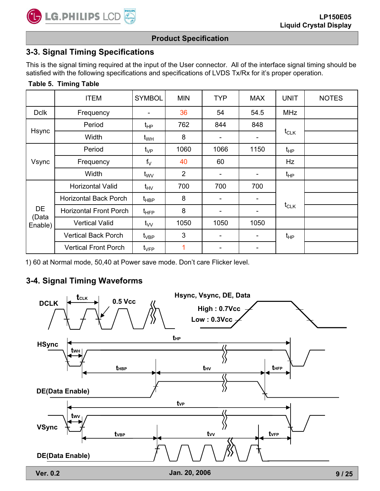**Table 5. Timing Table**

## **Product Specification**

# **3-3. Signal Timing Specifications**

This is the signal timing required at the input of the User connector. All of the interface signal timing should be satisfied with the following specifications and specifications of LVDS Tx/Rx for it's proper operation.

|             | <b>ITEM</b>                   | <b>SYMBOL</b>     | <b>MIN</b>     | <b>TYP</b> | <b>MAX</b>               | <b>UNIT</b> | <b>NOTES</b> |
|-------------|-------------------------------|-------------------|----------------|------------|--------------------------|-------------|--------------|
| <b>Dclk</b> | Frequency                     |                   | 36             | 54         | 54.5                     | <b>MHz</b>  |              |
|             | Period                        | $t_{\sf HP}$      | 762            | 844        | 848                      |             |              |
| Hsync       | Width                         | $t_{WH}$          | 8              | -          | $\blacksquare$           | $t_{CLK}$   |              |
|             | Period                        | $t_{\rm VP}$      | 1060           | 1066       | 1150                     | $t_{HP}$    |              |
| Vsync       | Frequency                     | $f_V$             | 40             | 60         |                          | Hz          |              |
|             | Width                         | $t_{\rm WV}$      | $\overline{2}$ |            | $\overline{\phantom{a}}$ | $t_{HP}$    |              |
|             | <b>Horizontal Valid</b>       | $t_{\mathsf{HV}}$ | 700            | 700        | 700                      |             |              |
|             | <b>Horizontal Back Porch</b>  | t <sub>HBP</sub>  | 8              |            | $\blacksquare$           |             |              |
| DE<br>(Data | <b>Horizontal Front Porch</b> | $t_{\text{HFP}}$  | 8              |            | -                        | $t_{CLK}$   |              |
| Enable)     | <b>Vertical Valid</b>         | $t_{VV}$          | 1050           | 1050       | 1050                     |             |              |
|             | <b>Vertical Back Porch</b>    | $t_{\sf VBP}$     | 3              |            | ۰.                       | $t_{HP}$    |              |
|             | <b>Vertical Front Porch</b>   | $t_{\sf VFP}$     |                |            | -                        |             |              |

1) 60 at Normal mode, 50,40 at Power save mode. Don't care Flicker level.

# **3-4. Signal Timing Waveforms**

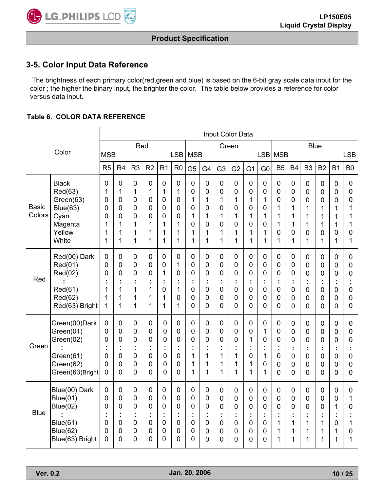

## **3-5. Color Input Data Reference**

The brightness of each primary color(red,green and blue) is based on the 6-bit gray scale data input for the color ; the higher the binary input, the brighter the color. The table below provides a reference for color versus data input.

#### **Table 6. COLOR DATA REFERENCE**

|                        |                                                                                                       | Input Color Data                          |                                                 |                                                                        |                                                                |                                 |                                                          |                                           |                                            |                                           |                                 |                                      |                                                   |                                                                  |                                         |                                                     |                                                                                                       |                                      |                                         |
|------------------------|-------------------------------------------------------------------------------------------------------|-------------------------------------------|-------------------------------------------------|------------------------------------------------------------------------|----------------------------------------------------------------|---------------------------------|----------------------------------------------------------|-------------------------------------------|--------------------------------------------|-------------------------------------------|---------------------------------|--------------------------------------|---------------------------------------------------|------------------------------------------------------------------|-----------------------------------------|-----------------------------------------------------|-------------------------------------------------------------------------------------------------------|--------------------------------------|-----------------------------------------|
|                        | Color                                                                                                 |                                           |                                                 | Red                                                                    |                                                                |                                 |                                                          |                                           |                                            |                                           | Green                           |                                      |                                                   |                                                                  |                                         | <b>Blue</b>                                         |                                                                                                       |                                      |                                         |
|                        |                                                                                                       | <b>MSB</b>                                |                                                 |                                                                        |                                                                |                                 | <b>LSB</b>                                               | <b>MSB</b>                                |                                            |                                           |                                 |                                      |                                                   | LSB MSB                                                          |                                         |                                                     |                                                                                                       |                                      | <b>LSB</b>                              |
|                        |                                                                                                       | R5                                        | R <sub>4</sub>                                  | R <sub>3</sub>                                                         | R <sub>2</sub>                                                 | R <sub>1</sub>                  | R <sub>0</sub>                                           | G <sub>5</sub>                            | G4                                         | G <sub>3</sub>                            | G <sub>2</sub>                  | G <sub>1</sub>                       | G <sub>0</sub>                                    | B <sub>5</sub>                                                   | <b>B4</b>                               | B <sub>3</sub>                                      | <b>B2</b>                                                                                             | <b>B1</b>                            | B <sub>0</sub>                          |
| <b>Basic</b><br>Colors | <b>Black</b><br>Red(63)<br>Green(63)<br>Blue(63)<br>Cyan                                              | $\mathbf 0$<br>1<br>0<br>0<br>0           | 0<br>1<br>$\overline{0}$<br>$\overline{0}$<br>0 | 0<br>1<br>0<br>0<br>0                                                  | $\boldsymbol{0}$<br>1<br>0<br>$\mathbf 0$<br>$\mathbf 0$       | 0<br>1<br>0<br>0<br>0           | $\boldsymbol{0}$<br>1<br>$\mathbf 0$<br>$\mathbf 0$<br>0 | $\mathbf 0$<br>0<br>1<br>0<br>1           | 0<br>0<br>1<br>0<br>1                      | $\mathbf 0$<br>0<br>1<br>0<br>1           | 0<br>0<br>1<br>0<br>1           | $\boldsymbol{0}$<br>0<br>1<br>0<br>1 | $\mathbf 0$<br>0<br>1<br>0<br>1                   | $\mathbf 0$<br>$\mathbf 0$<br>0<br>1<br>1                        | $\pmb{0}$<br>0<br>0<br>1<br>1           | $\boldsymbol{0}$<br>$\mathbf 0$<br>0<br>1<br>1      | $\mathbf 0$<br>$\mathbf 0$<br>$\overline{0}$<br>1<br>1                                                | $\mathbf 0$<br>0<br>0<br>1<br>1      | 0<br>0<br>0<br>1<br>1                   |
|                        | Magenta<br>Yellow<br>White                                                                            | 1<br>1<br>1                               | 1<br>1<br>1                                     | 1<br>1<br>1                                                            | 1<br>1<br>1                                                    | 1<br>1<br>1                     | 1<br>1<br>1                                              | 0<br>1<br>1                               | 0<br>1<br>1                                | $\overline{0}$<br>1<br>1                  | 0<br>1<br>1                     | 0<br>1<br>1                          | 0<br>1<br>1                                       | 1<br>0<br>1                                                      | 1<br>$\overline{0}$<br>1                | 1<br>0<br>1                                         | 1<br>$\overline{0}$<br>1                                                                              | 1<br>0<br>1                          | 1<br>0<br>1                             |
| Red                    | Red(00) Dark<br>Red(01)<br>Red(02)<br>Red(61)<br>Red(62)<br>Red(63) Bright                            | $\pmb{0}$<br>0<br>0<br>1<br>1<br>1        | $\mathbf 0$<br>0<br>0<br>t<br>1<br>1<br>1       | 0<br>0<br>0<br>t<br>1<br>1<br>1                                        | $\mathbf 0$<br>$\mathbf 0$<br>0<br>÷<br>1<br>1<br>1            | 0<br>0<br>1<br>t<br>0<br>1<br>1 | 0<br>1<br>0<br>t<br>1<br>0<br>1                          | $\mathbf 0$<br>0<br>0<br>t<br>0<br>0<br>0 | $\mathbf 0$<br>0<br>0<br>t,<br>0<br>0<br>0 | $\mathbf 0$<br>0<br>0<br>t<br>0<br>0<br>0 | 0<br>0<br>0<br>t<br>0<br>0<br>0 | 0<br>0<br>0<br>÷<br>0<br>0<br>0      | $\mathbf 0$<br>$\overline{0}$<br>0<br>0<br>0<br>0 | 0<br>$\mathbf 0$<br>$\mathbf 0$<br>t<br>0<br>0<br>0              | $\pmb{0}$<br>0<br>0<br>÷<br>0<br>0<br>0 | $\mathbf 0$<br>0<br>0<br>t,<br>0<br>0<br>0          | $\mathbf 0$<br>$\mathbf 0$<br>$\overline{0}$<br>Ĩ.<br>$\mathbf 0$<br>$\mathbf 0$<br>0                 | 0<br>0<br>0<br>0<br>0<br>0           | 0<br>0<br>0<br>$\mathbf 0$<br>0<br>0    |
| Green                  | Green(00)Dark<br>Green(01)<br>Green(02)<br>Green(61)<br>Green(62)<br>Green(63)Bright                  | 0<br>0<br>0<br>0<br>0<br>$\overline{0}$   | 0<br>0<br>0<br>t,<br>0<br>$\overline{0}$<br>0   | 0<br>$\overline{0}$<br>0<br>t<br>$\overline{0}$<br>0<br>$\overline{0}$ | 0<br>$\mathbf 0$<br>0<br>Ì,<br>$\mathbf 0$<br>$\mathbf 0$<br>0 | 0<br>0<br>0<br>t<br>0<br>0<br>0 | 0<br>0<br>0<br>÷<br>0<br>0<br>0                          | 0<br>0<br>0<br>t<br>1<br>1<br>1           | 0<br>0<br>0<br>t<br>1<br>1<br>1            | 0<br>0<br>0<br>1<br>1<br>1                | 0<br>0<br>0<br>1<br>1<br>1      | 0<br>0<br>1<br>t<br>0<br>1<br>1      | 0<br>1<br>0<br>1<br>0<br>1                        | 0<br>$\overline{0}$<br>0<br>$\mathbf 0$<br>0<br>0                | 0<br>0<br>0<br>0<br>0<br>0              | 0<br>0<br>0<br>0<br>0<br>0                          | $\mathbf 0$<br>$\overline{0}$<br>$\overline{0}$<br>Ĩ.<br>$\mathbf 0$<br>$\mathbf 0$<br>$\overline{0}$ | 0<br>0<br>0<br>0<br>0<br>0           | 0<br>0<br>0<br>$\overline{0}$<br>0<br>0 |
| <b>Blue</b>            | Blue(00) Dark<br><b>Blue(01)</b><br><b>Blue(02)</b><br>Blue(61)<br><b>Blue(62)</b><br>Blue(63) Bright | $\mathbf 0$<br>0<br>0<br>t<br>0<br>0<br>0 | $\mathbf 0$<br>0<br>0<br>÷<br>0<br>0<br>0       | 0<br>0<br>0<br>İ<br>0<br>0<br>0                                        | $\mathbf 0$<br>$\mathbf 0$<br>0<br>÷<br>$\mathbf 0$<br>0<br>0  | 0<br>0<br>0<br>t<br>0<br>0<br>0 | 0<br>0<br>0<br>t<br>$\boldsymbol{0}$<br>0<br>0           | $\mathbf 0$<br>0<br>0<br>t<br>0<br>0<br>0 | $\mathbf 0$<br>0<br>0<br>t,<br>0<br>0<br>0 | $\mathbf 0$<br>0<br>0<br>t<br>0<br>0<br>0 | 0<br>0<br>0<br>÷<br>0<br>0<br>0 | 0<br>0<br>0<br>÷<br>0<br>0<br>0      | $\mathbf 0$<br>$\overline{0}$<br>0<br>0<br>0<br>0 | $\mathbf 0$<br>$\mathbf 0$<br>$\overline{0}$<br>t<br>1<br>1<br>1 | 0<br>0<br>0<br>t<br>1<br>1<br>1         | $\mathbf 0$<br>$\mathbf 0$<br>0<br>t<br>1<br>1<br>1 | $\mathbf 0$<br>$\mathbf 0$<br>0<br>t<br>1<br>1<br>1                                                   | $\mathbf 0$<br>0<br>1<br>0<br>1<br>1 | 0<br>1<br>0<br>1<br>0<br>1              |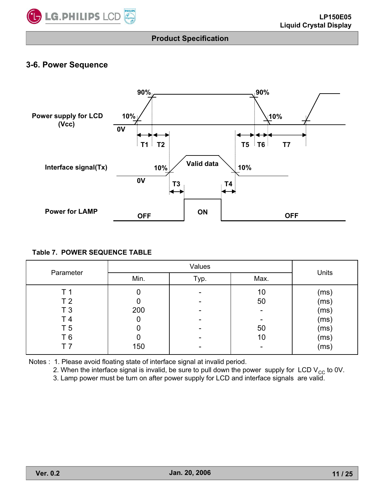

## **3-6. Power Sequence**



#### **Table 7. POWER SEQUENCE TABLE**

|                |      | Units |      |      |  |
|----------------|------|-------|------|------|--|
| Parameter      | Min. | Typ.  | Max. |      |  |
| T 1            |      |       | 10   | (ms) |  |
| T <sub>2</sub> |      |       | 50   | (ms) |  |
| T <sub>3</sub> | 200  |       |      | (ms) |  |
| T 4            |      |       |      | (ms) |  |
| T <sub>5</sub> |      |       | 50   | (ms) |  |
| T <sub>6</sub> |      |       | 10   | (ms) |  |
|                | 150  |       |      | (ms) |  |

Notes : 1. Please avoid floating state of interface signal at invalid period.

2. When the interface signal is invalid, be sure to pull down the power supply for LCD  $V_{CC}$  to 0V.

3. Lamp power must be turn on after power supply for LCD and interface signals are valid.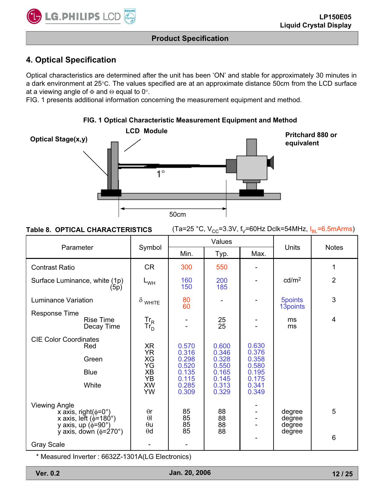

# **4. Optical Specification**

Optical characteristics are determined after the unit has been 'ON' and stable for approximately 30 minutes in a dark environment at 25°C. The values specified are at an approximate distance 50cm from the LCD surface at a viewing angle of  $\Phi$  and  $\Theta$  equal to 0°.

FIG. 1 presents additional information concerning the measurement equipment and method.



#### **FIG. 1 Optical Characteristic Measurement Equipment and Method**

| <b>Table 8. OPTICAL CHARACTERISTICS</b> | (Ta=25 °C, V <sub>cc</sub> =3.3V, f <sub>v</sub> =60Hz Dclk=54MHz, $I_{BL}$ =6.5mArms) |
|-----------------------------------------|----------------------------------------------------------------------------------------|
|-----------------------------------------|----------------------------------------------------------------------------------------|

| Parameter                                                                                                               |                                     | Symbol                               |                | Values                |                | Units                           | <b>Notes</b>    |
|-------------------------------------------------------------------------------------------------------------------------|-------------------------------------|--------------------------------------|----------------|-----------------------|----------------|---------------------------------|-----------------|
|                                                                                                                         |                                     |                                      | Min.           | Typ.                  | Max.           |                                 |                 |
| <b>Contrast Ratio</b>                                                                                                   |                                     | <b>CR</b>                            | 300            | 550                   |                |                                 | 1               |
| Surface Luminance, white (1p)                                                                                           | (5p)                                | $L_{WH}$                             | 160<br>150     | 200<br>185            |                | cd/m <sup>2</sup>               | $\overline{2}$  |
| <b>Luminance Variation</b>                                                                                              |                                     | $\delta$ white                       | 80<br>60       |                       |                | 5points<br>13 <sub>points</sub> | 3               |
| <b>Response Time</b>                                                                                                    | <b>Rise Time</b><br>Decay Time      | $\mathsf{Tr}_{\mathsf{R}}$<br>$Tr_D$ |                | 25<br>$\overline{25}$ |                | ms<br>ms                        | $\overline{4}$  |
| <b>CIE Color Coordinates</b><br>Red                                                                                     |                                     | <b>XR</b><br><b>YR</b>               | 0.570<br>0.316 | 0.600<br>0.346        | 0.630<br>0.376 |                                 |                 |
|                                                                                                                         | Green                               | XG<br>YG                             | 0.298<br>0.520 | 0.328<br>0.550        | 0.358<br>0.580 |                                 |                 |
|                                                                                                                         | <b>Blue</b>                         | XB<br>YB                             | 0.135<br>0.115 | 0.165<br>0.145        | 0.195<br>0.175 |                                 |                 |
|                                                                                                                         | White                               | <b>XW</b><br><b>YW</b>               | 0.285<br>0.309 | 0.313<br>0.329        | 0.341<br>0.349 |                                 |                 |
| <b>Viewing Angle</b><br>x axis, right( $\phi$ =0°)<br>x axis, left $(\phi=180^\circ)$<br>y axis, up $(\phi = 90^\circ)$ |                                     | $\theta$ r<br>$\theta$<br>$\theta$ u | 85<br>85<br>85 | 88<br>88<br>88        |                | degree<br>degree<br>degree      | 5               |
| <b>Gray Scale</b>                                                                                                       | y axis, down $(\phi = 270^{\circ})$ | $\theta$ d                           | 85             | 88                    |                | degree                          | $6\phantom{1}6$ |

\* Measured Inverter : 6632Z-1301A(LG Electronics)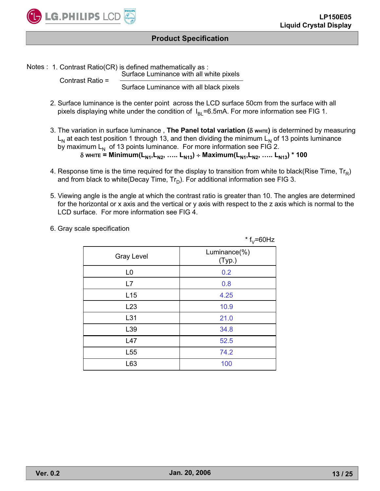

Notes : 1. Contrast Ratio(CR) is defined mathematically as : Surface Luminance with all white pixels

Contrast Ratio =

Surface Luminance with all black pixels

- 2. Surface luminance is the center point across the LCD surface 50cm from the surface with all pixels displaying white under the condition of  $I_{BI}$ =6.5mA. For more information see FIG 1.
- 3. The variation in surface luminance, The Panel total variation ( $\delta$  white) is determined by measuring  $L_N$  at each test position 1 through 13, and then dividing the minimum  $L_N$  of 13 points luminance by maximum  $\mathsf{L}_\mathsf{N}\,$  of 13 points luminance. For more information see FIG 2. **WHITE = Minimum(L N1,LN2, ….. LN13 ) Maximum(LN1,LN2, ….. LN13) \* 100**
- 4. Response time is the time required for the display to transition from white to black(Rise Time,  $Tr_R$ ) and from black to white(Decay Time,  $Tr_D$ ). For additional information see FIG 3.
- 5. Viewing angle is the angle at which the contrast ratio is greater than 10. The angles are determined for the horizontal or x axis and the vertical or y axis with respect to the z axis which is normal to the LCD surface. For more information see FIG 4.

|                   | $*$ f <sub>V</sub> =60Hz |
|-------------------|--------------------------|
| <b>Gray Level</b> | Luminance(%)<br>(Typ.)   |
| L <sub>0</sub>    | 0.2                      |
| L7                | 0.8                      |
| L15               | 4.25                     |
| L23               | 10.9                     |
| L31               | 21.0                     |
| L39               | 34.8                     |
| L47               | 52.5                     |
| L <sub>55</sub>   | 74.2                     |
| L63               | 100                      |

6. Gray scale specification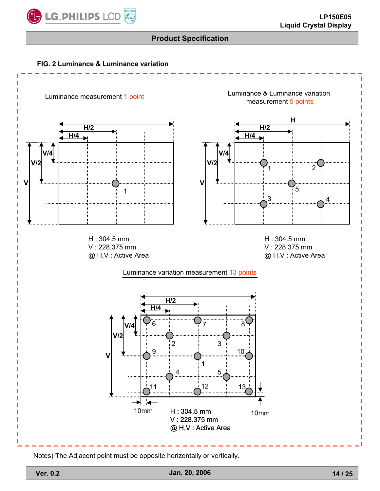





Notes) The Adjacent point must be opposite horizontally or vertically.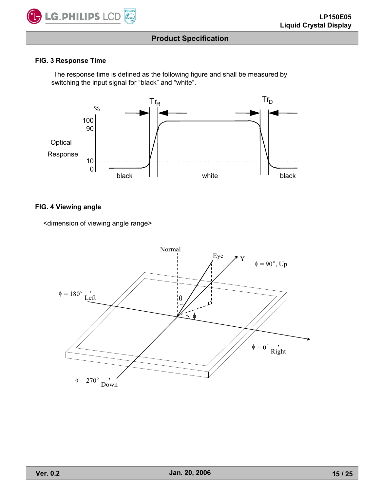

#### **FIG. 3 Response Time**

The response time is defined as the following figure and shall be measured by switching the input signal for "black" and "white".



#### **FIG. 4 Viewing angle**

<dimension of viewing angle range>

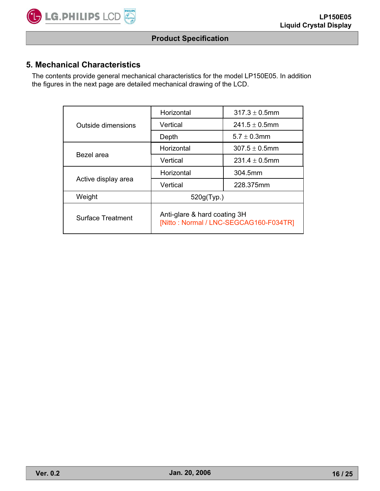

# **5. Mechanical Characteristics**

The contents provide general mechanical characteristics for the model LP150E05. In addition the figures in the next page are detailed mechanical drawing of the LCD.

|                          | Horizontal                                                             | $317.3 \pm 0.5$ mm |  |  |  |
|--------------------------|------------------------------------------------------------------------|--------------------|--|--|--|
| Outside dimensions       | Vertical                                                               | $241.5 \pm 0.5$ mm |  |  |  |
|                          | Depth                                                                  | $5.7 + 0.3$ mm     |  |  |  |
| Bezel area               | Horizontal                                                             | $307.5 \pm 0.5$ mm |  |  |  |
|                          | Vertical                                                               | $231.4 \pm 0.5$ mm |  |  |  |
|                          | Horizontal                                                             | 304.5mm            |  |  |  |
| Active display area      | Vertical                                                               | 228.375mm          |  |  |  |
| Weight                   | 520g(Typ.)                                                             |                    |  |  |  |
| <b>Surface Treatment</b> | Anti-glare & hard coating 3H<br>[Nitto: Normal / LNC-SEGCAG160-F034TR] |                    |  |  |  |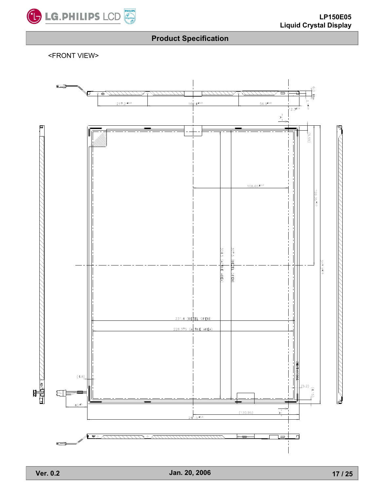

<FRONT VIEW>

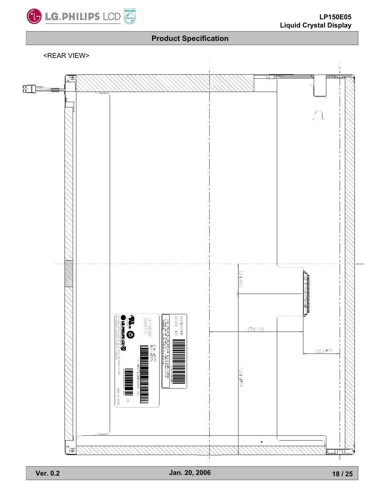

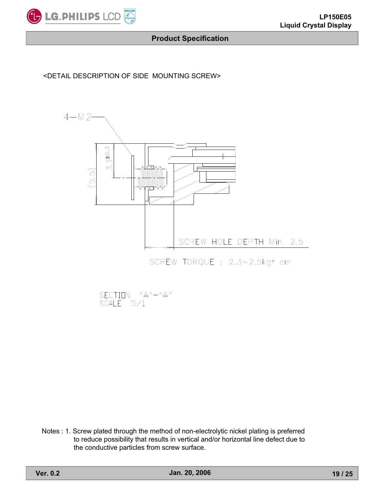

#### <DETAIL DESCRIPTION OF SIDE MOUNTING SCREW>



SCREW TORQUE : 2.3~2.5kgf cm

SECTION "A"-"A"<br>SCALE 5/1

Notes : 1. Screw plated through the method of non-electrolytic nickel plating is preferred to reduce possibility that results in vertical and/or horizontal line defect due to the conductive particles from screw surface.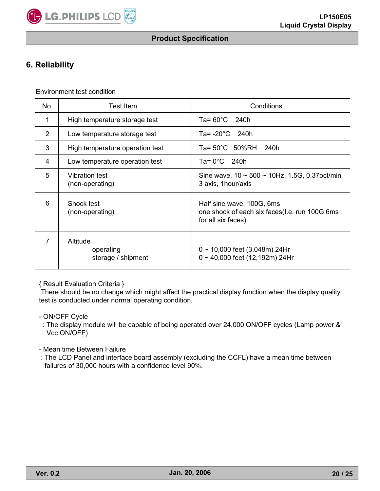

# **6. Reliability**

Environment test condition

| No.            | <b>Test Item</b>                            | Conditions                                                                                       |
|----------------|---------------------------------------------|--------------------------------------------------------------------------------------------------|
| 1              | High temperature storage test               | Ta= $60^{\circ}$ C 240h                                                                          |
| 2              | Low temperature storage test                | Ta= $-20^{\circ}$ C 240h                                                                         |
| 3              | High temperature operation test             | Ta= 50°C 50%RH 240h                                                                              |
| 4              | Low temperature operation test              | $Ta = 0^{\circ}C$ 240h                                                                           |
| 5              | <b>Vibration test</b><br>(non-operating)    | Sine wave, $10 \sim 500 \sim 10$ Hz, 1.5G, 0.37 oct/min<br>3 axis, 1hour/axis                    |
| 6              | Shock test<br>(non-operating)               | Half sine wave, 100G, 6ms<br>one shock of each six faces(l.e. run 100G 6ms<br>for all six faces) |
| $\overline{7}$ | Altitude<br>operating<br>storage / shipment | $0 \sim 10,000$ feet (3,048m) 24Hr<br>$0 \sim 40,000$ feet (12,192m) 24Hr                        |

{ Result Evaluation Criteria }

There should be no change which might affect the practical display function when the display quality test is conducted under normal operating condition.

- ON/OFF Cycle

: The display module will be capable of being operated over 24,000 ON/OFF cycles (Lamp power & Vcc ON/OFF)

- Mean time Between Failure
- : The LCD Panel and interface board assembly (excluding the CCFL) have a mean time between failures of 30,000 hours with a confidence level 90%.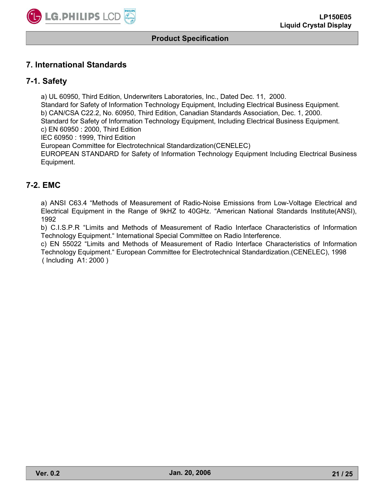

## **7. International Standards**

## **7-1. Safety**

a) UL 60950, Third Edition, Underwriters Laboratories, Inc., Dated Dec. 11, 2000.

Standard for Safety of Information Technology Equipment, Including Electrical Business Equipment.

b) CAN/CSA C22.2, No. 60950, Third Edition, Canadian Standards Association, Dec. 1, 2000.

Standard for Safety of Information Technology Equipment, Including Electrical Business Equipment. c) EN 60950 : 2000, Third Edition

IEC 60950 : 1999, Third Edition

European Committee for Electrotechnical Standardization(CENELEC)

EUROPEAN STANDARD for Safety of Information Technology Equipment Including Electrical Business Equipment.

## **7-2. EMC**

a) ANSI C63.4 "Methods of Measurement of Radio-Noise Emissions from Low-Voltage Electrical and Electrical Equipment in the Range of 9kHZ to 40GHz. "American National Standards Institute(ANSI), 1992

b) C.I.S.P.R "Limits and Methods of Measurement of Radio Interface Characteristics of Information Technology Equipment." International Special Committee on Radio Interference.

c) EN 55022 "Limits and Methods of Measurement of Radio Interface Characteristics of Information Technology Equipment." European Committee for Electrotechnical Standardization.(CENELEC), 1998 ( Including A1: 2000 )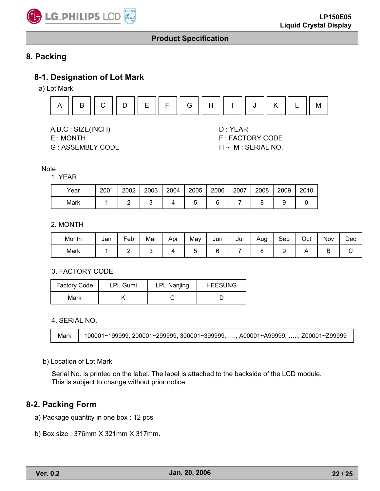

# **8. Packing**

## **8-1. Designation of Lot Mark**

a) Lot Mark



A,B,C : SIZE(INCH) D : YEAR

- 
- G : ASSEMBLY CODE H ~ M : SERIAL NO.

E : MONTH F : FACTORY CODE

#### **Note**

#### 1. YEAR

| Year | 2001 | 2002 | 2003 | 2004 | 2005 | 2006 | 2007 | 2008 | 2009 | 2010 |
|------|------|------|------|------|------|------|------|------|------|------|
| Mark |      |      |      |      |      |      |      |      |      |      |

#### 2. MONTH

| Month | Jan | Feb | Mar | Apr | May | Jun | Jul | Aug | Sep | Oct | . .<br>Nov | Dec |
|-------|-----|-----|-----|-----|-----|-----|-----|-----|-----|-----|------------|-----|
| Mark  |     | -   |     |     |     |     |     |     |     |     |            |     |

3. FACTORY CODE

| <b>Factory Code</b> | <b>LPL Gumi</b> | <b>LPL Nanjing</b> | <b>HEESUNG</b> |  |  |
|---------------------|-----------------|--------------------|----------------|--|--|
| Mark                |                 |                    |                |  |  |

#### 4. SERIAL NO.

```
Mark 100001~199999, 200001~299999, 300001~399999, …., A00001~A99999, ….., Z00001~Z99999
```
#### b) Location of Lot Mark

Serial No. is printed on the label. The label is attached to the backside of the LCD module. This is subject to change without prior notice.

#### **8-2. Packing Form**

- a) Package quantity in one box : 12 pcs
- b) Box size : 376mm X 321mm X 317mm.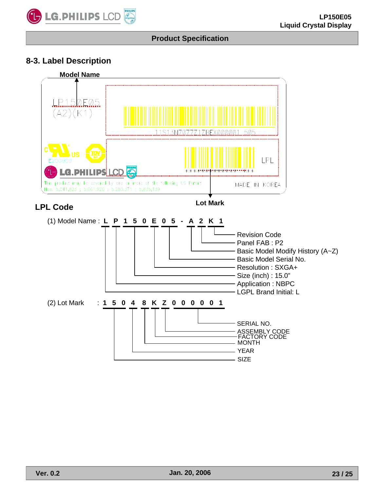

# **8-3. Label Description**

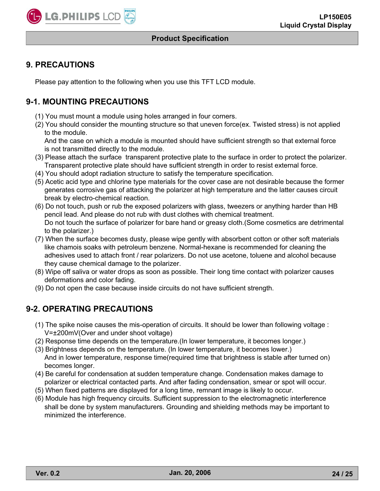

## **9. PRECAUTIONS**

Please pay attention to the following when you use this TFT LCD module.

## **9-1. MOUNTING PRECAUTIONS**

- (1) You must mount a module using holes arranged in four corners.
- (2) You should consider the mounting structure so that uneven force(ex. Twisted stress) is not applied to the module.

And the case on which a module is mounted should have sufficient strength so that external force is not transmitted directly to the module.

- (3) Please attach the surface transparent protective plate to the surface in order to protect the polarizer. Transparent protective plate should have sufficient strength in order to resist external force.
- (4) You should adopt radiation structure to satisfy the temperature specification.
- (5) Acetic acid type and chlorine type materials for the cover case are not desirable because the former generates corrosive gas of attacking the polarizer at high temperature and the latter causes circuit break by electro-chemical reaction.
- (6) Do not touch, push or rub the exposed polarizers with glass, tweezers or anything harder than HB pencil lead. And please do not rub with dust clothes with chemical treatment. Do not touch the surface of polarizer for bare hand or greasy cloth.(Some cosmetics are detrimental to the polarizer.)
- (7) When the surface becomes dusty, please wipe gently with absorbent cotton or other soft materials like chamois soaks with petroleum benzene. Normal-hexane is recommended for cleaning the adhesives used to attach front / rear polarizers. Do not use acetone, toluene and alcohol because they cause chemical damage to the polarizer.
- (8) Wipe off saliva or water drops as soon as possible. Their long time contact with polarizer causes deformations and color fading.
- (9) Do not open the case because inside circuits do not have sufficient strength.

# **9-2. OPERATING PRECAUTIONS**

- (1) The spike noise causes the mis-operation of circuits. It should be lower than following voltage : V= $\pm$ 200mV(Over and under shoot voltage)
- (2) Response time depends on the temperature.(In lower temperature, it becomes longer.)
- (3) Brightness depends on the temperature. (In lower temperature, it becomes lower.) And in lower temperature, response time(required time that brightness is stable after turned on) becomes longer.
- (4) Be careful for condensation at sudden temperature change. Condensation makes damage to polarizer or electrical contacted parts. And after fading condensation, smear or spot will occur.
- (5) When fixed patterns are displayed for a long time, remnant image is likely to occur.
- (6) Module has high frequency circuits. Sufficient suppression to the electromagnetic interference shall be done by system manufacturers. Grounding and shielding methods may be important to minimized the interference.